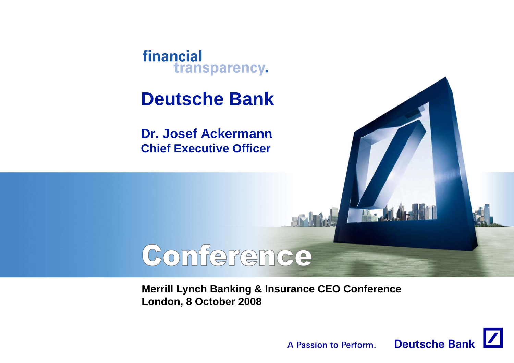

# **Deutsche Bank**

**Dr. Josef Ackermann Chief Executive Officer**

# Conference

**Merrill Lynch Banking & Insurance CEO Conference London, 8 October 2008**



 $\mathbf{M}$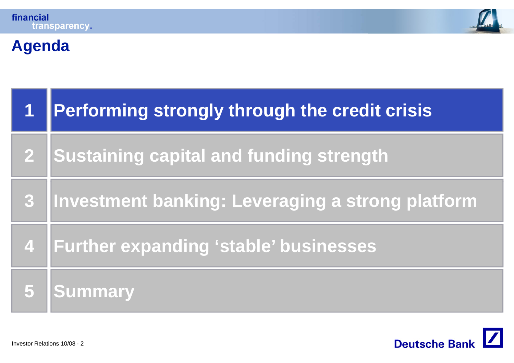



# **Agenda**

|            | Performing strongly through the credit crisis    |  |  |
|------------|--------------------------------------------------|--|--|
| <u> 21</u> | <b>Sustaining capital and funding strength</b>   |  |  |
| 3          | Investment banking: Leveraging a strong platform |  |  |
|            | 4   Further expanding 'stable' businesses        |  |  |
|            | <b>Summary</b>                                   |  |  |

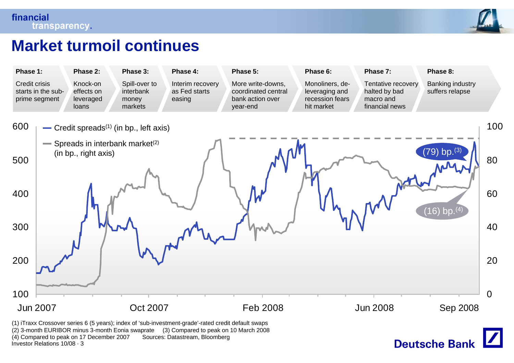

#### **Market turmoil continues**



Investor Relations 10/08 · 3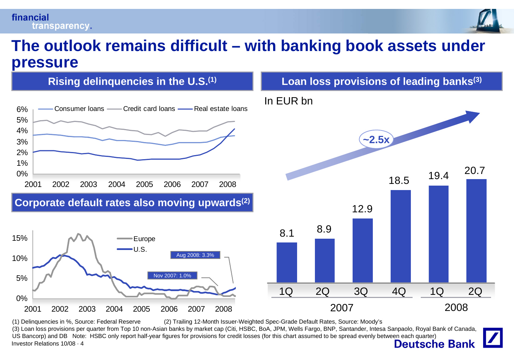#### financial transparency.



#### **The outlook remains difficult – with banking book assets under pressure**



Investor Relations 10/08 · 4(1) Delinquencies in %, Source: Federal Reserve (2) Trailing 12-Month Issuer-Weighted Spec-Grade Default Rates, Source: Moody's (3) Loan loss provisions per quarter from Top 10 non-Asian banks by market cap (Citi, HSBC, BoA, JPM, Wells Fargo, BNP, Santander, Intesa Sanpaolo, Royal Bank of Canada, US Bancorp) and DB Note: HSBC only report half-year figures for provisions for credit losses (for this chart assumed to be spread evenly between each quarter)<br>Investor Relations 10/08 · 4 **Deutsche Bank**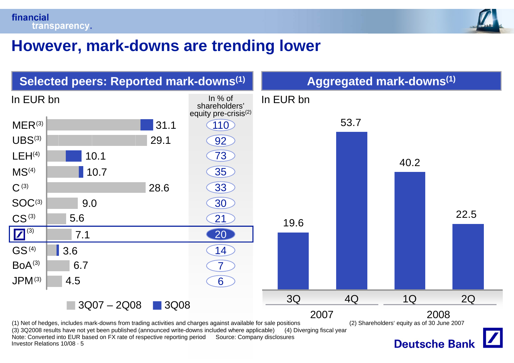

#### **However mark-downs are trending lower However,**

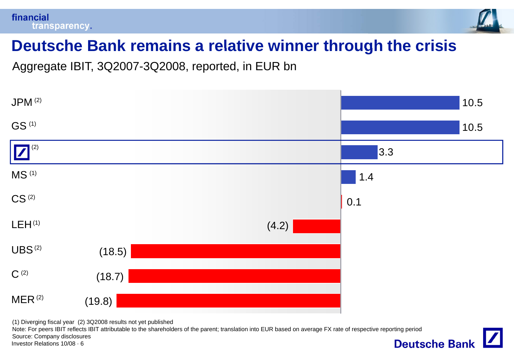



### **Deutsche Bank remains <sup>a</sup> relative winner through the crisis**

Aggregate IBIT, 3Q2007-3Q2008, reported, in EUR bn



(1) Diverging fiscal year (2) 3Q2008 results not yet published

Note: For peers IBIT reflects IBIT attributable to the shareholders of the parent; translation into EUR based on average FX rate of respective reporting period Source: Company disclosures**Deutsche Bank** 

Investor Relations 10/08 · 6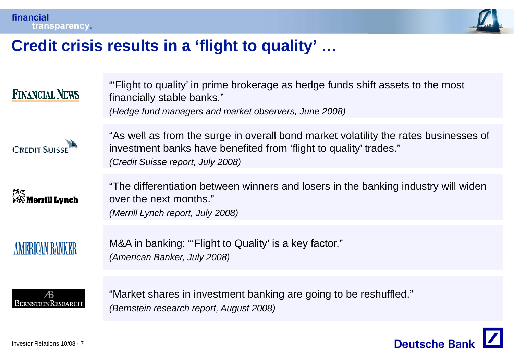

#### **Credit crisis results in a 'flight to quality' flight quality …**

| <b>FINANCIAL NEWS</b>      | "Flight to quality' in prime brokerage as hedge funds shift assets to the most<br>financially stable banks."<br>(Hedge fund managers and market observers, June 2008)                          |
|----------------------------|------------------------------------------------------------------------------------------------------------------------------------------------------------------------------------------------|
| <b>CREDIT SUISSE</b>       | "As well as from the surge in overall bond market volatility the rates businesses of<br>investment banks have benefited from 'flight to quality' trades."<br>(Credit Suisse report, July 2008) |
| 深S<br>Merrill <b>Lynch</b> | "The differentiation between winners and losers in the banking industry will widen<br>over the next months."<br>(Merrill Lynch report, July 2008)                                              |
| <b>AMERICAN BANKER</b>     | M&A in banking: "'Flight to Quality' is a key factor."<br>(American Banker, July 2008)                                                                                                         |
| Æ<br>BERNSTEINRESEARCH     | "Market shares in investment banking are going to be reshuffled."<br>(Bernstein research report, August 2008)                                                                                  |

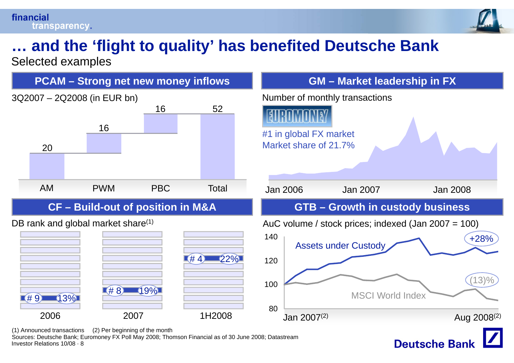#### financial transparency.



**Deutsche Ban** 

# **… and the 'flight to quality flight quality' has benefited Deutsche Bank**

Selected examples



Investor Relations 10/08 · 8Sources: Deutsche Bank; Euromoney FX Poll May 2008; Thomson Financial as of 30 June 2008; Datastream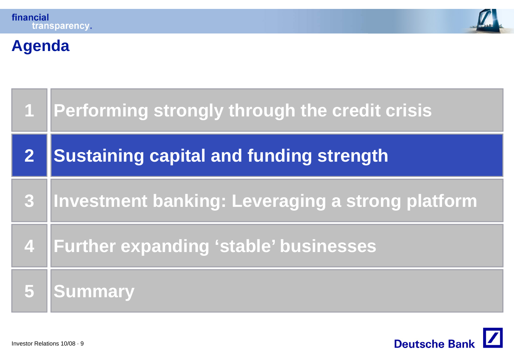



# **Agenda**

| $\mathbf 1$ | Performing strongly through the credit crisis    |  |  |
|-------------|--------------------------------------------------|--|--|
|             | <b>Sustaining capital and funding strength</b>   |  |  |
| 3           | Investment banking: Leveraging a strong platform |  |  |
| 47          | <b>Further expanding 'stable' businesses</b>     |  |  |
|             | <b>Summary</b>                                   |  |  |

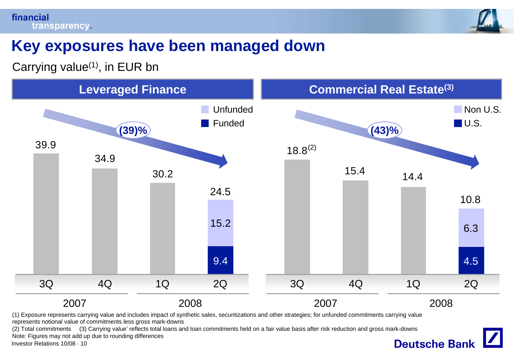

### **Key exposures have been managed down**

Carrying value $(1)$ , in EUR bn



represents notional value of commitments less gross mark-downs

(2) Total commitments (3) Carrying value' reflects total loans and loan commitments held on a fair value basis after risk reduction and gross mark-downs Note: Figures may not add up due to rounding differences**Deutsche Bank** 

Investor Relations 10/08 · 10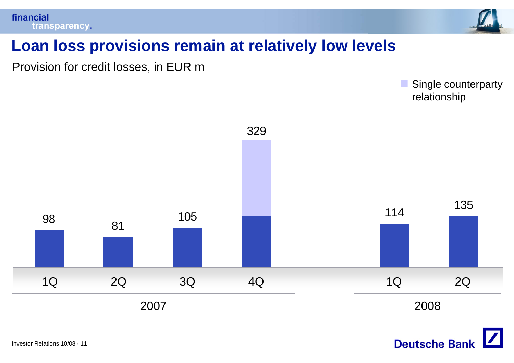

### **Loan loss provisions remain at relatively low levels**

Provision for credit losses, in EUR m

Single counterparty relationship



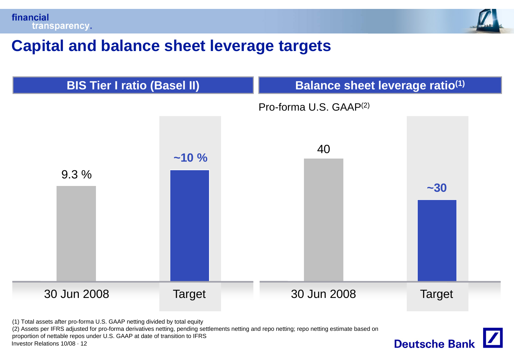



**Deutsche Bank** 

#### **Capital and balance sheet leverage targets**



(1) Total assets after pro-forma U.S. GAAP netting divided by total equity

Investor Relations 10/08 · 12(2) Assets per IFRS adjusted for pro-forma derivatives netting, pending settlements netting and repo netting; repo netting estimate based on proportion of nettable repos under U.S. GAAP at date of transition to IFRS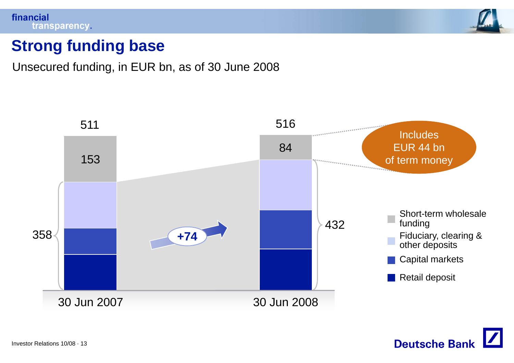



### **Strong funding base**

Unsecured funding, in EUR bn, as of 30 June 2008



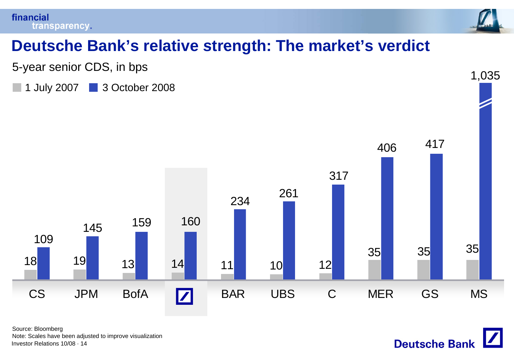



1,035

# **Deutsche Bank s' relative strength: The market s' verdict**

5-year senior CDS, in bps

1 July 2007 3 October 2008



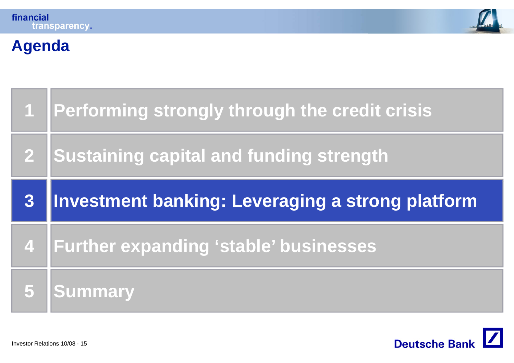



# **Agenda**

| $\mathbf{1}$            | Performing strongly through the credit crisis    |  |
|-------------------------|--------------------------------------------------|--|
|                         | <b>Sustaining capital and funding strength</b>   |  |
| 3                       | Investment banking: Leveraging a strong platform |  |
| $\overline{\mathbf{4}}$ | <b>Further expanding 'stable' businesses</b>     |  |
|                         | <b>Summary</b>                                   |  |

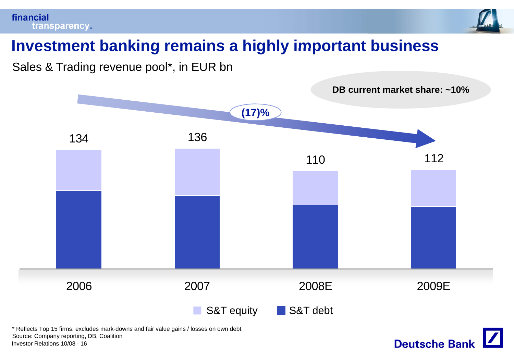



**Deutsche Bank** 

# **Investment banking remains <sup>a</sup> highly important business**

Sales & Trading revenue pool\*, in EUR bn



Investor Relations 10/08 · 16\* Reflects Top 15 firms; excludes mark-downs and fair value gains / losses on own debt Source: Company reporting, DB, Coalition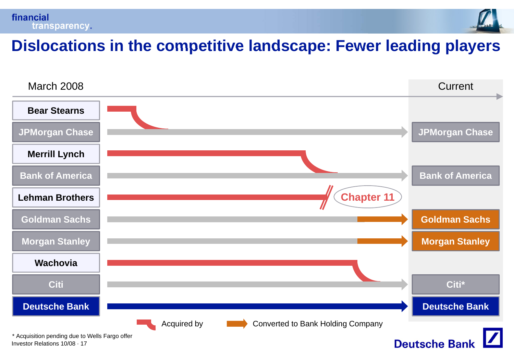



#### **Dislocations in the competitive landscape: Fewer leading players**

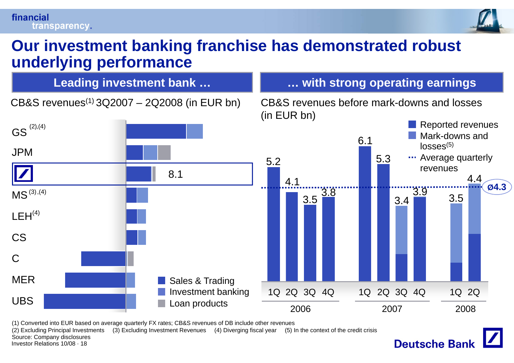

**Deutsche Banl** 

#### **Our investment banking franchise has demonstrated robust underlying performance**



(1) Converted into EUR based on average quarterly FX rates; CB&S revenues of DB include other revenues

(2) Excluding Principal Investments (3) Excluding Investment Revenues (4) Diverging fiscal year (5) In the context of the credit crisis Source: Company disclosures

Investor Relations 10/08 · 18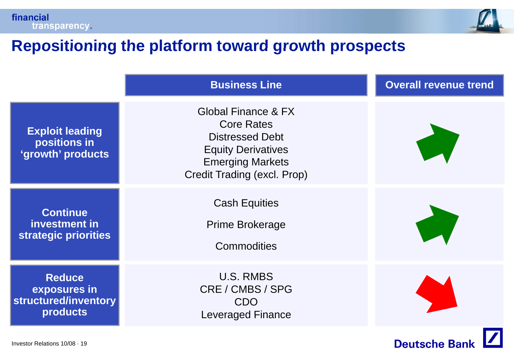

#### **Repositioning the platform toward growth prospects prospects**

|                                                                   | <b>Business Line</b>                                                                                                                                      | <b>Overall revenue trend</b> |
|-------------------------------------------------------------------|-----------------------------------------------------------------------------------------------------------------------------------------------------------|------------------------------|
| <b>Exploit leading</b><br>positions in<br>'growth' products       | Global Finance & FX<br><b>Core Rates</b><br><b>Distressed Debt</b><br><b>Equity Derivatives</b><br><b>Emerging Markets</b><br>Credit Trading (excl. Prop) |                              |
| <b>Continue</b><br>investment in<br>strategic priorities          | <b>Cash Equities</b><br><b>Prime Brokerage</b><br>Commodities                                                                                             |                              |
| <b>Reduce</b><br>exposures in<br>structured/inventory<br>products | <b>U.S. RMBS</b><br>CRE / CMBS / SPG<br><b>CDO</b><br><b>Leveraged Finance</b>                                                                            |                              |
| Investor Relations 10/08 · 19                                     |                                                                                                                                                           | <b>Deutsche Banl</b>         |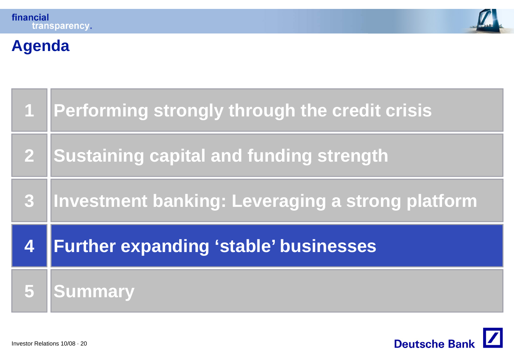



# **Agenda**

| $\overline{1}$          | Performing strongly through the credit crisis    |  |
|-------------------------|--------------------------------------------------|--|
| $\mathbf{2}$            | <b>Sustaining capital and funding strength</b>   |  |
| $\overline{\mathbf{3}}$ | Investment banking: Leveraging a strong platform |  |
| 4                       | Further expanding 'stable' businesses            |  |
|                         | <b>Summary</b>                                   |  |

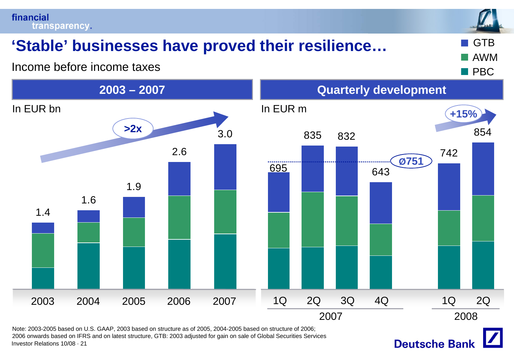financial transparency.

# **EXTED 19 IN Stable' businesses have proved their resilience...**  $\blacksquare$  **GTB**

Income before income taxes



Investor Relations 10/08 · 21Note: 2003-2005 based on U.S. GAAP, 2003 based on structure as of 2005, 2004-2005 based on structure of 2006; 2006 onwards based on IFRS and on latest structure, GTB: 2003 adjusted for gain on sale of Global Securities Services

**Deutsche Bank** 



AWM

**Barba**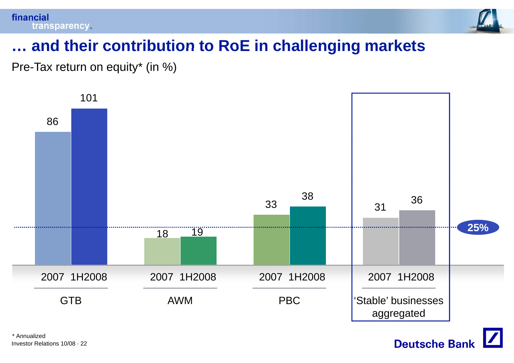

# **… and their contribution to RoE in challenging markets**

Pre-Tax return on equity\* (in %)



Investor Relations 10/08 · 22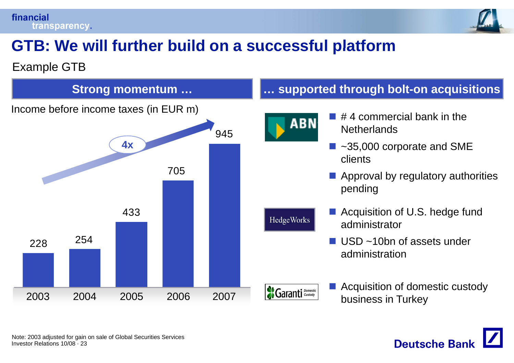financial transparency.



# **GTB: We will further build on <sup>a</sup> successful platform**

#### Example GTB



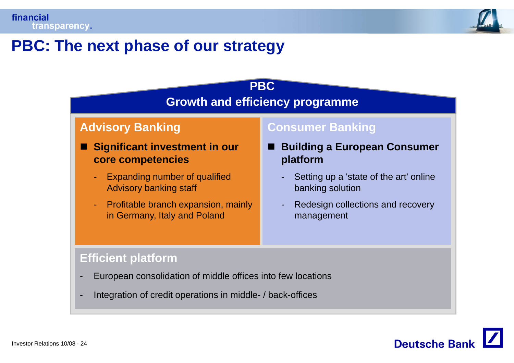

#### **PBC: The next phase of our strategy**



Integration of credit operations in middle- / back-offices

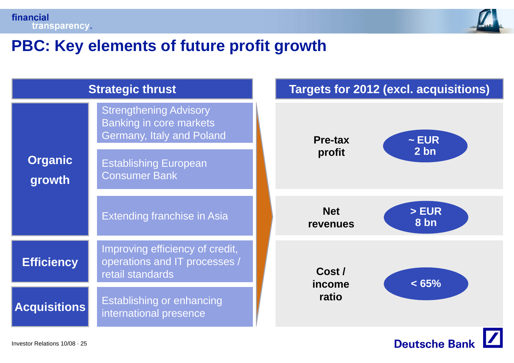



#### **PBC: Key elements of future profit growth profit**

| <b>Strategic thrust</b>       |                                                                                              |       |                               | <b>Targets for 2012 (excl. acquisitions)</b> |
|-------------------------------|----------------------------------------------------------------------------------------------|-------|-------------------------------|----------------------------------------------|
|                               | <b>Strengthening Advisory</b><br><b>Banking in core markets</b><br>Germany, Italy and Poland |       | <b>Pre-tax</b>                | $\sim$ EUR                                   |
| <b>Organic</b><br>growth      | <b>Establishing European</b><br><b>Consumer Bank</b>                                         |       | profit                        | 2 bn                                         |
|                               | <b>Extending franchise in Asia</b>                                                           |       | <b>Net</b><br><b>revenues</b> | > EUR<br>8 bn                                |
| <b>Efficiency</b>             | Improving efficiency of credit,<br>operations and IT processes /<br>retail standards         |       | Cost /<br>income              | < 65%                                        |
| <b>Acquisitions</b>           | Establishing or enhancing<br>international presence                                          | ratio |                               |                                              |
| Investor Relations 10/08 · 25 |                                                                                              |       |                               | <b>Deutsche Bank</b>                         |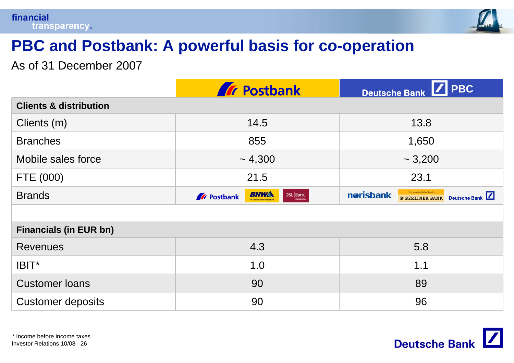

# **PBC and Postbank: A powerful basis for co basis -operation operation**

As of 31 December 2007

|                                   | <b>Tr</b> Postbank                                         | $\sqrt{\phantom{a}}$ PBC<br><b>Deutsche Bank</b>                              |  |  |  |  |
|-----------------------------------|------------------------------------------------------------|-------------------------------------------------------------------------------|--|--|--|--|
| <b>Clients &amp; distribution</b> |                                                            |                                                                               |  |  |  |  |
| Clients (m)                       | 14.5                                                       | 13.8                                                                          |  |  |  |  |
| <b>Branches</b>                   | 855                                                        | 1,650                                                                         |  |  |  |  |
| Mobile sales force                | ~1,300                                                     | $\sim 3,200$                                                                  |  |  |  |  |
| FTE (000)                         | 21.5                                                       | 23.1                                                                          |  |  |  |  |
| <b>Brands</b>                     | BHW<br>$\text{DSL} \big  \text{Bank}$<br><b>A</b> Postbank | Die persönliche Bank.<br>norisbank<br>Deutsche Bank<br><b>B BERLINER BANK</b> |  |  |  |  |
|                                   |                                                            |                                                                               |  |  |  |  |
| <b>Financials (in EUR bn)</b>     |                                                            |                                                                               |  |  |  |  |
| <b>Revenues</b>                   | 4.3                                                        | 5.8                                                                           |  |  |  |  |
| $IBIT^*$                          | 1.0                                                        | 1.1                                                                           |  |  |  |  |
| <b>Customer loans</b>             | 90                                                         | 89                                                                            |  |  |  |  |
| <b>Customer deposits</b>          | 90                                                         | 96                                                                            |  |  |  |  |

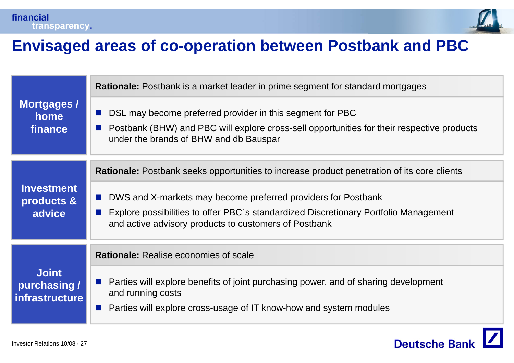



 $\boldsymbol{Z}$ 

**Deutsche Bank** 

#### **Envisaged areas of co co-operation between Postbank and PBC operation**

|                                                       | <b>Rationale:</b> Postbank is a market leader in prime segment for standard mortgages                                                                                                             |
|-------------------------------------------------------|---------------------------------------------------------------------------------------------------------------------------------------------------------------------------------------------------|
| Mortgages /<br>home<br>finance                        | DSL may become preferred provider in this segment for PBC<br>Postbank (BHW) and PBC will explore cross-sell opportunities for their respective products<br>under the brands of BHW and db Bauspar |
|                                                       | <b>Rationale:</b> Postbank seeks opportunities to increase product penetration of its core clients                                                                                                |
| <b>Investment</b><br>products &                       | DWS and X-markets may become preferred providers for Postbank                                                                                                                                     |
| advice                                                | Explore possibilities to offer PBC's standardized Discretionary Portfolio Management<br>and active advisory products to customers of Postbank                                                     |
|                                                       | <b>Rationale:</b> Realise economies of scale                                                                                                                                                      |
| <b>Joint</b><br>purchasing /<br><b>infrastructure</b> | Parties will explore benefits of joint purchasing power, and of sharing development<br>and running costs<br>Parties will explore cross-usage of IT know-how and system modules                    |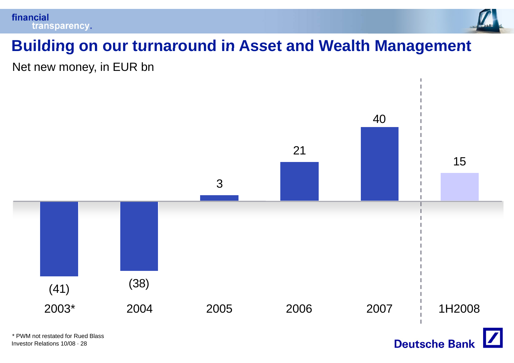



# **Building on our turnaround in Asset and Wealth Management**

Net new money, in EUR bn

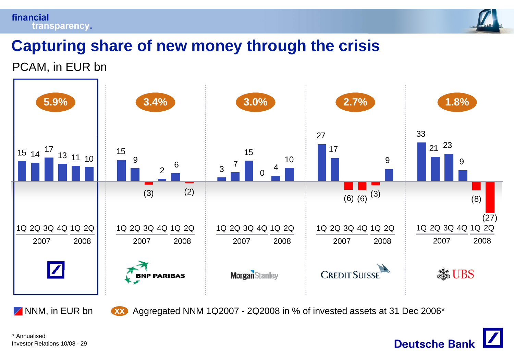#### financial transparency.



**Deutsche Bank** 

# **Capturing share of new money through the crisis**

#### PCAM, in EUR bn



NNM, in EUR bn <mark>xxx</mark> Aggreg Aggregated NNM 1Q2007 - 2Q2008 in % of invested assets at 31 Dec 2006\*

Investor Relations 10/08 · 29\* Annualised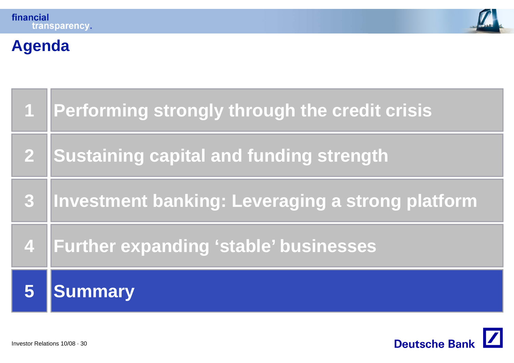



# **Agenda**

|                  | Performing strongly through the credit crisis    |
|------------------|--------------------------------------------------|
| $\mathbf{2}$     | <b>Sustaining capital and funding strength</b>   |
| $\boldsymbol{3}$ | Investment banking: Leveraging a strong platform |
| $\overline{4}$   | <b>Further expanding 'stable' businesses</b>     |
|                  | <b>Summary</b>                                   |

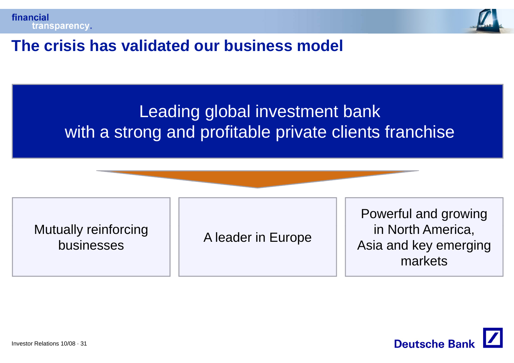



#### **The crisis has validated our business model**

# Leading global investment bank with <sup>a</sup> strong and profitable private clients franchise

Mutually reinforci businesses

A leader in Europe

Powerful and growing forcing in Alender in Europe in North America, Asia and key emerging markets

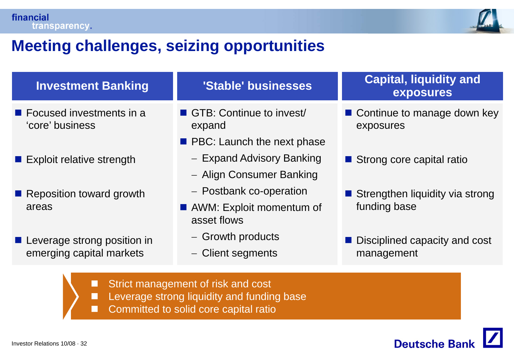

# **Meeting challenges seizing opportunities challenges,**

| <b>Investment Banking</b>                                  | 'Stable' businesses                     | <b>Capital, liquidity and</b><br>exposures |  |  |
|------------------------------------------------------------|-----------------------------------------|--------------------------------------------|--|--|
| $\blacksquare$ Focused investments in a<br>'core' business | GTB: Continue to invest<br>expand       | ■ Continue to manage down key<br>exposures |  |  |
|                                                            | <b>PBC:</b> Launch the next phase       |                                            |  |  |
| ■ Exploit relative strength                                | - Expand Advisory Banking               | Strong core capital ratio                  |  |  |
|                                                            | - Align Consumer Banking                |                                            |  |  |
| Reposition toward growth                                   | - Postbank co-operation                 | Strengthen liquidity via strong            |  |  |
| areas                                                      | AWM: Exploit momentum of<br>asset flows | funding base                               |  |  |
| <b>Leverage strong position in</b>                         | - Growth products                       | ■ Disciplined capacity and cost            |  |  |
| emerging capital markets                                   | - Client segments                       | management                                 |  |  |
| Strict management of risk and cost<br>П                    |                                         |                                            |  |  |

- $\overline{\phantom{a}}$ Leverage strong liquidity and funding base
- Committed to solid core capital ratio